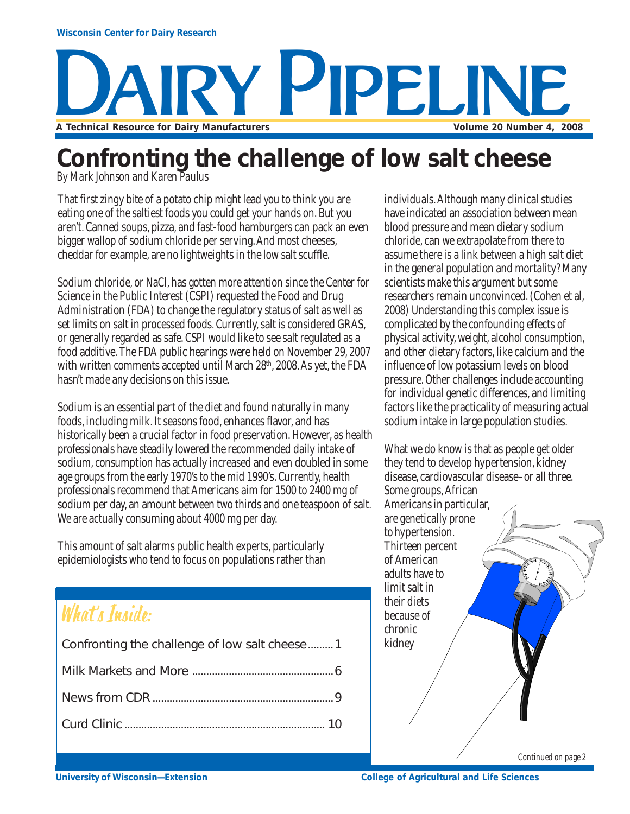## **SA HIDELINE A Technical Resource for Dairy Manufacturers Volume 20 Number 4, 2008**

### **Confronting the challenge of low salt cheese**

*By Mark Johnson and Karen Paulus*

That first zingy bite of a potato chip might lead you to think you are eating one of the saltiest foods you could get your hands on. But you aren't. Canned soups, pizza, and fast-food hamburgers can pack an even bigger wallop of sodium chloride per serving. And most cheeses, cheddar for example, are no lightweights in the low salt scuffle.

Sodium chloride, or NaCl, has gotten more attention since the Center for Science in the Public Interest (CSPI) requested the Food and Drug Administration (FDA) to change the regulatory status of salt as well as set limits on salt in processed foods. Currently, salt is considered GRAS, or generally regarded as safe. CSPI would like to see salt regulated as a food additive. The FDA public hearings were held on November 29, 2007 with written comments accepted until March 28<sup>th</sup>, 2008. As yet, the FDA hasn't made any decisions on this issue.

Sodium is an essential part of the diet and found naturally in many foods, including milk. It seasons food, enhances flavor, and has historically been a crucial factor in food preservation. However, as health professionals have steadily lowered the recommended daily intake of sodium, consumption has actually increased and even doubled in some age groups from the early 1970's to the mid 1990's. Currently, health professionals recommend that Americans aim for 1500 to 2400 mg of sodium per day, an amount between two thirds and one teaspoon of salt. We are actually consuming about 4000 mg per day.

This amount of salt alarms public health experts, particularly epidemiologists who tend to focus on populations rather than

### What's Inside:

| Confronting the challenge of low salt cheese1 |
|-----------------------------------------------|
|                                               |
|                                               |
|                                               |

individuals. Although many clinical studies have indicated an association between mean blood pressure and mean dietary sodium chloride, can we extrapolate from there to assume there is a link between a high salt diet in the general population and mortality? Many scientists make this argument but some researchers remain unconvinced. (Cohen et al, 2008) Understanding this complex issue is complicated by the confounding effects of physical activity, weight, alcohol consumption, and other dietary factors, like calcium and the influence of low potassium levels on blood pressure. Other challenges include accounting for individual genetic differences, and limiting factors like the practicality of measuring actual sodium intake in large population studies.

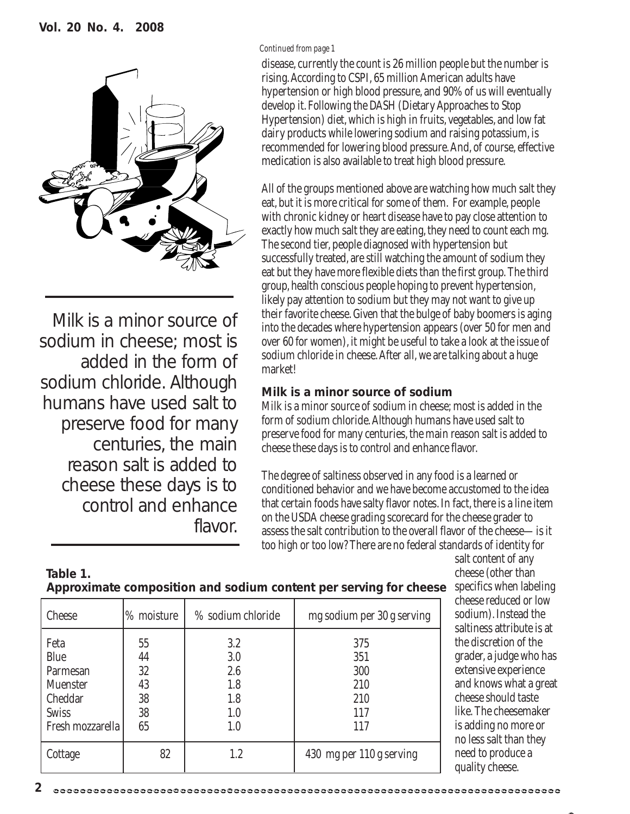

Milk is a minor source of sodium in cheese; most is added in the form of sodium chloride. Although humans have used salt to preserve food for many centuries, the main reason salt is added to cheese these days is to control and enhance flavor.

**2**

#### *Continued from page 1*

disease, currently the count is 26 million people but the number is rising. According to CSPI, 65 million American adults have hypertension or high blood pressure, and 90% of us will eventually develop it. Following the DASH (Dietary Approaches to Stop Hypertension) diet, which is high in fruits, vegetables, and low fat dairy products while lowering sodium and raising potassium, is recommended for lowering blood pressure. And, of course, effective medication is also available to treat high blood pressure.

All of the groups mentioned above are watching how much salt they eat, but it is more critical for some of them. For example, people with chronic kidney or heart disease have to pay close attention to exactly how much salt they are eating, they need to count each mg. The second tier, people diagnosed with hypertension but successfully treated, are still watching the amount of sodium they eat but they have more flexible diets than the first group. The third group, health conscious people hoping to prevent hypertension, likely pay attention to sodium but they may not want to give up their favorite cheese. Given that the bulge of baby boomers is aging into the decades where hypertension appears (over 50 for men and over 60 for women), it might be useful to take a look at the issue of sodium chloride in cheese. After all, we are talking about a huge market!

#### **Milk is a minor source of sodium**

Milk is a minor source of sodium in cheese; most is added in the form of sodium chloride. Although humans have used salt to preserve food for many centuries, the main reason salt is added to cheese these days is to control and enhance flavor.

The degree of saltiness observed in any food is a learned or conditioned behavior and we have become accustomed to the idea that certain foods have salty flavor notes. In fact, there is a line item on the USDA cheese grading scorecard for the cheese grader to assess the salt contribution to the overall flavor of the cheese—is it too high or too low? There are no federal standards of identity for

| Table 1.                                                          |
|-------------------------------------------------------------------|
| Approximate composition and sodium content per serving for cheese |

Cheese 1% moisture | % sodium chloride | mg sodium per 30 g serving

Cottage 1.2 1.2 130 mg per 110 g serving

Feta 55 3.2 375 Blue | 44 | 3.0 | 351 Parmesan | 32 | 2.6 | 300 Muenster | 43 | 1.8 | 210 Cheddar | 38 | 1.8 | 210 Swiss 138 1.0 117 Fresh mozzarella  $\begin{array}{ccc} 65 & 1 & 1.0 & 117 \end{array}$  salt content of any cheese (other than specifics when labeling cheese reduced or low sodium). Instead the saltiness attribute is at the discretion of the grader, a judge who has extensive experience and knows what a great cheese should taste like. The cheesemaker is adding no more or no less salt than they need to produce a quality cheese.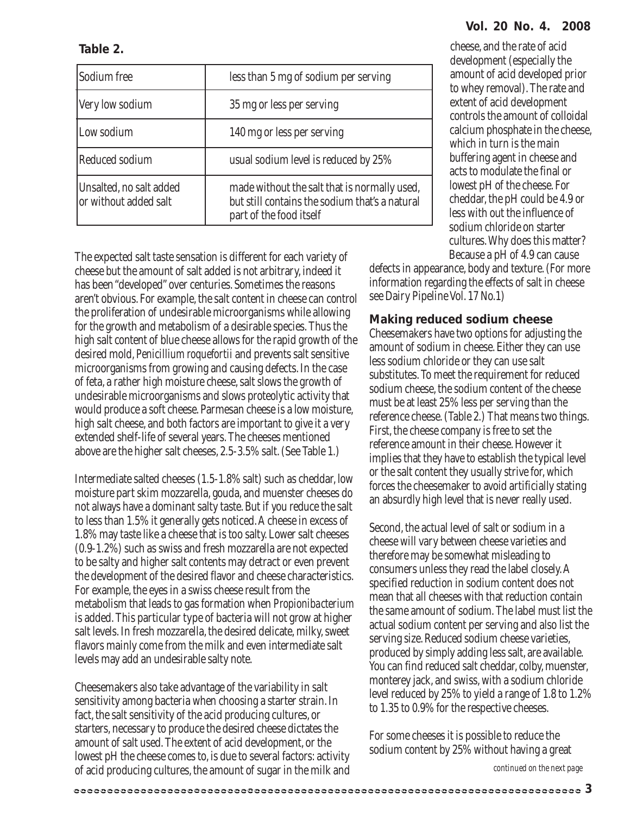cheese, and the rate of acid development (especially the amount of acid developed prior to whey removal). The rate and extent of acid development controls the amount of colloidal calcium phosphate in the cheese, which in turn is the main buffering agent in cheese and acts to modulate the final or lowest pH of the cheese. For cheddar, the pH could be 4.9 or less with out the influence of sodium chloride on starter cultures. Why does this matter? Because a pH of 4.9 can cause

defects in appearance, body and texture. (For more information regarding the effects of salt in cheese see Dairy Pipeline Vol. 17 No.1)

#### **Making reduced sodium cheese**

Cheesemakers have two options for adjusting the amount of sodium in cheese. Either they can use less sodium chloride or they can use salt substitutes. To meet the requirement for reduced sodium cheese, the sodium content of the cheese must be at least 25% less per serving than the reference cheese. (Table 2.) That means two things. First, the cheese company is free to set the reference amount in their cheese. However it implies that they have to establish the typical level or the salt content they usually strive for, which forces the cheesemaker to avoid artificially stating an absurdly high level that is never really used.

Second, the actual level of salt or sodium in a cheese will vary between cheese varieties and therefore may be somewhat misleading to consumers unless they read the label closely. A specified reduction in sodium content does not mean that all cheeses with that reduction contain the same amount of sodium. The label must list the actual sodium content per serving and also list the serving size. Reduced sodium cheese varieties, produced by simply adding less salt, are available. You can find reduced salt cheddar, colby, muenster, monterey jack, and swiss, with a sodium chloride level reduced by 25% to yield a range of 1.8 to 1.2% to 1.35 to 0.9% for the respective cheeses.

For some cheeses it is possible to reduce the sodium content by 25% without having a great

The expected salt taste sensation is different for each variety of cheese but the amount of salt added is not arbitrary, indeed it has been "developed" over centuries. Sometimes the reasons aren't obvious. For example, the salt content in cheese can control the proliferation of undesirable microorganisms while allowing part of the food itself

for the growth and metabolism of a desirable species. Thus the high salt content of blue cheese allows for the rapid growth of the desired mold, *Penicillium roquefortii* and prevents salt sensitive microorganisms from growing and causing defects. In the case of feta, a rather high moisture cheese, salt slows the growth of undesirable microorganisms and slows proteolytic activity that would produce a soft cheese. Parmesan cheese is a low moisture, high salt cheese, and both factors are important to give it a very extended shelf-life of several years. The cheeses mentioned above are the higher salt cheeses, 2.5-3.5% salt. (See Table 1.)

Intermediate salted cheeses (1.5-1.8% salt) such as cheddar, low moisture part skim mozzarella, gouda, and muenster cheeses do not always have a dominant salty taste. But if you reduce the salt to less than 1.5% it generally gets noticed. A cheese in excess of 1.8% may taste like a cheese that is too salty. Lower salt cheeses (0.9-1.2%) such as swiss and fresh mozzarella are not expected to be salty and higher salt contents may detract or even prevent the development of the desired flavor and cheese characteristics. For example, the eyes in a swiss cheese result from the metabolism that leads to gas formation when *Propionibacterium* is added. This particular type of bacteria will not grow at higher salt levels. In fresh mozzarella, the desired delicate, milky, sweet flavors mainly come from the milk and even intermediate salt levels may add an undesirable salty note.

Cheesemakers also take advantage of the variability in salt sensitivity among bacteria when choosing a starter strain. In fact, the salt sensitivity of the acid producing cultures, or starters, necessary to produce the desired cheese dictates the amount of salt used. The extent of acid development, or the lowest pH the cheese comes to, is due to several factors: activity of acid producing cultures, the amount of sugar in the milk and

#### **3**

| Sodium free                                      | less than 5 mg of sodium per serving                                                                                                                                                                                                                                                                                                                                                                                                                                                                                                                                                        |
|--------------------------------------------------|---------------------------------------------------------------------------------------------------------------------------------------------------------------------------------------------------------------------------------------------------------------------------------------------------------------------------------------------------------------------------------------------------------------------------------------------------------------------------------------------------------------------------------------------------------------------------------------------|
| Very low sodium                                  | 35 mg or less per serving                                                                                                                                                                                                                                                                                                                                                                                                                                                                                                                                                                   |
| Low sodium                                       | 140 mg or less per serving                                                                                                                                                                                                                                                                                                                                                                                                                                                                                                                                                                  |
| Reduced sodium                                   | usual sodium level is reduced by 25%                                                                                                                                                                                                                                                                                                                                                                                                                                                                                                                                                        |
| Unsalted, no salt added<br>or without added salt | made without the salt that is normally used,<br>but still contains the sodium that's a natural<br>$\blacksquare$ . $\blacksquare$ . $\blacksquare$ . $\blacksquare$ . $\blacksquare$ . $\blacksquare$ . $\blacksquare$ . $\blacksquare$ . $\blacksquare$ . $\blacksquare$ . $\blacksquare$ . $\blacksquare$ . $\blacksquare$ . $\blacksquare$ . $\blacksquare$ . $\blacksquare$ . $\blacksquare$ . $\blacksquare$ . $\blacksquare$ . $\blacksquare$ . $\blacksquare$ . $\blacksquare$ . $\blacksquare$ . $\blacksquare$ . $\blacksquare$ . $\blacksquare$ . $\blacksquare$ . $\blacksquare$ |

**Table 2.**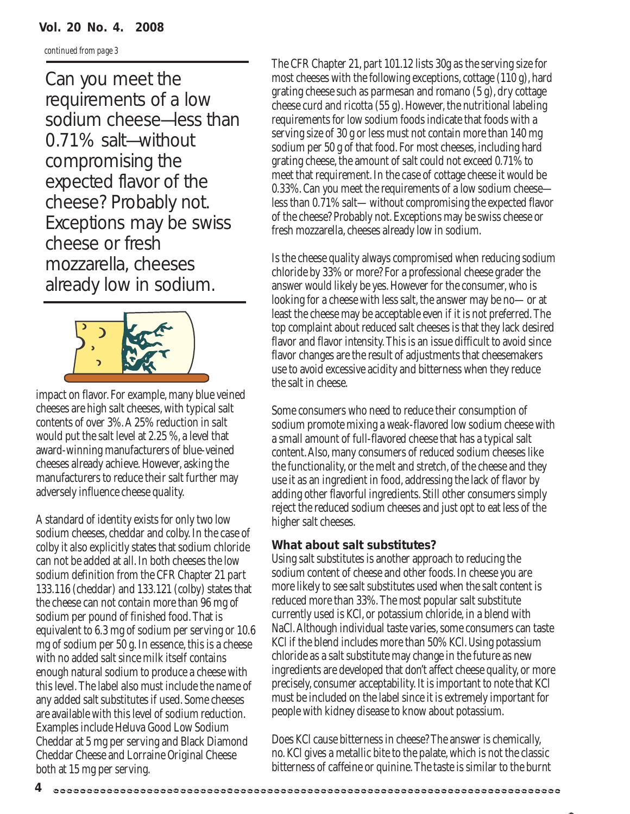#### **Vol. 20 No. 4. 2008**

*continued from page 3*

Can you meet the requirements of a low sodium cheese—less than 0.71% salt—without compromising the expected flavor of the cheese? Probably not. Exceptions may be swiss cheese or fresh mozzarella, cheeses already low in sodium.



impact on flavor. For example, many blue veined cheeses are high salt cheeses, with typical salt contents of over 3%. A 25% reduction in salt would put the salt level at 2.25 %, a level that award-winning manufacturers of blue-veined cheeses already achieve. However, asking the manufacturers to reduce their salt further may adversely influence cheese quality.

A standard of identity exists for only two low sodium cheeses, cheddar and colby. In the case of colby it also explicitly states that sodium chloride can not be added at all. In both cheeses the low sodium definition from the CFR Chapter 21 part 133.116 (cheddar) and 133.121 (colby) states that the cheese can not contain more than 96 mg of sodium per pound of finished food. That is equivalent to 6.3 mg of sodium per serving or 10.6 mg of sodium per 50 g. In essence, this is a cheese with no added salt since milk itself contains enough natural sodium to produce a cheese with this level. The label also must include the name of any added salt substitutes if used. Some cheeses are available with this level of sodium reduction. Examples include Heluva Good Low Sodium Cheddar at 5 mg per serving and Black Diamond Cheddar Cheese and Lorraine Original Cheese both at 15 mg per serving.

The CFR Chapter 21, part 101.12 lists 30g as the serving size for most cheeses with the following exceptions, cottage (110 g), hard grating cheese such as parmesan and romano (5 g), dry cottage cheese curd and ricotta (55 g). However, the nutritional labeling requirements for low sodium foods indicate that foods with a serving size of 30 g or less must not contain more than 140 mg sodium per 50 g of that food. For most cheeses, including hard grating cheese, the amount of salt could not exceed 0.71% to meet that requirement. In the case of cottage cheese it would be 0.33%. Can you meet the requirements of a low sodium cheese less than 0.71% salt—without compromising the expected flavor of the cheese? Probably not. Exceptions may be swiss cheese or fresh mozzarella, cheeses already low in sodium.

Is the cheese quality always compromised when reducing sodium chloride by 33% or more? For a professional cheese grader the answer would likely be yes. However for the consumer, who is looking for a cheese with less salt, the answer may be no—or at least the cheese may be acceptable even if it is not preferred. The top complaint about reduced salt cheeses is that they lack desired flavor and flavor intensity. This is an issue difficult to avoid since flavor changes are the result of adjustments that cheesemakers use to avoid excessive acidity and bitterness when they reduce the salt in cheese.

Some consumers who need to reduce their consumption of sodium promote mixing a weak-flavored low sodium cheese with a small amount of full-flavored cheese that has a typical salt content. Also, many consumers of reduced sodium cheeses like the functionality, or the melt and stretch, of the cheese and they use it as an ingredient in food, addressing the lack of flavor by adding other flavorful ingredients. Still other consumers simply reject the reduced sodium cheeses and just opt to eat less of the higher salt cheeses.

#### **What about salt substitutes?**

Using salt substitutes is another approach to reducing the sodium content of cheese and other foods. In cheese you are more likely to see salt substitutes used when the salt content is reduced more than 33%. The most popular salt substitute currently used is KCl, or potassium chloride, in a blend with NaCl. Although individual taste varies, some consumers can taste KCl if the blend includes more than 50% KCl. Using potassium chloride as a salt substitute may change in the future as new ingredients are developed that don't affect cheese quality, or more precisely, consumer acceptability. It is important to note that KCl must be included on the label since it is extremely important for people with kidney disease to know about potassium.

Does KCl cause bitterness in cheese? The answer is chemically, no. KCl gives a metallic bite to the palate, which is not the classic bitterness of caffeine or quinine. The taste is similar to the burnt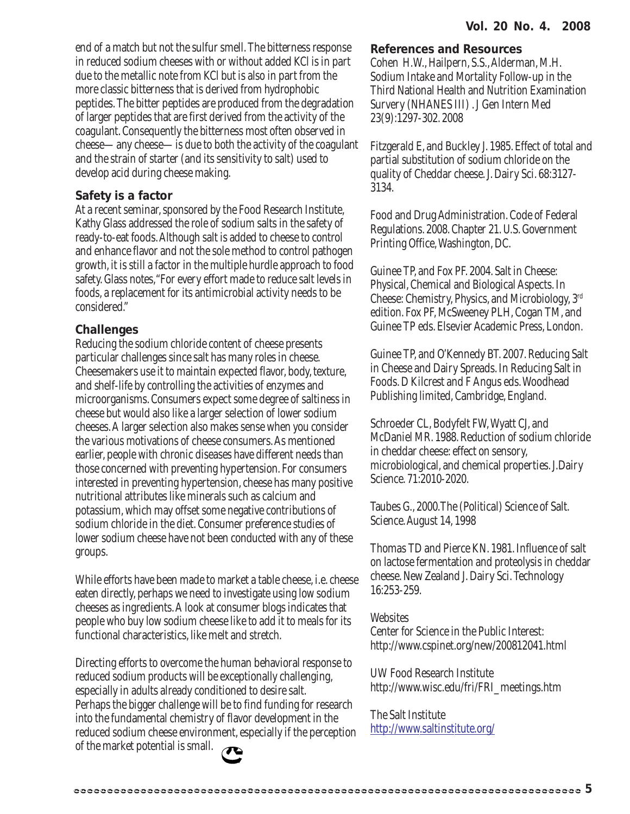end of a match but not the sulfur smell. The bitterness response in reduced sodium cheeses with or without added KCl is in part due to the metallic note from KCl but is also in part from the more classic bitterness that is derived from hydrophobic peptides. The bitter peptides are produced from the degradation of larger peptides that are first derived from the activity of the coagulant. Consequently the bitterness most often observed in cheese—any cheese—is due to both the activity of the coagulant and the strain of starter (and its sensitivity to salt) used to develop acid during cheese making.

#### **Safety is a factor**

At a recent seminar, sponsored by the Food Research Institute, Kathy Glass addressed the role of sodium salts in the safety of ready-to-eat foods. Although salt is added to cheese to control and enhance flavor and not the sole method to control pathogen growth, it is still a factor in the multiple hurdle approach to food safety. Glass notes,"For every effort made to reduce salt levels in foods, a replacement for its antimicrobial activity needs to be considered."

#### **Challenges**

Reducing the sodium chloride content of cheese presents particular challenges since salt has many roles in cheese. Cheesemakers use it to maintain expected flavor, body, texture, and shelf-life by controlling the activities of enzymes and microorganisms. Consumers expect some degree of saltiness in cheese but would also like a larger selection of lower sodium cheeses. A larger selection also makes sense when you consider the various motivations of cheese consumers. As mentioned earlier, people with chronic diseases have different needs than those concerned with preventing hypertension. For consumers interested in preventing hypertension, cheese has many positive nutritional attributes like minerals such as calcium and potassium, which may offset some negative contributions of sodium chloride in the diet. Consumer preference studies of lower sodium cheese have not been conducted with any of these groups.

While efforts have been made to market a table cheese, i.e. cheese eaten directly, perhaps we need to investigate using low sodium cheeses as ingredients. A look at consumer blogs indicates that people who buy low sodium cheese like to add it to meals for its functional characteristics, like melt and stretch.

Directing efforts to overcome the human behavioral response to reduced sodium products will be exceptionally challenging, especially in adults already conditioned to desire salt. Perhaps the bigger challenge will be to find funding for research into the fundamental chemistry of flavor development in the reduced sodium cheese environment, especially if the perception of the market potential is small.



#### **References and Resources**

Cohen H.W., Hailpern, S.S., Alderman, M.H. Sodium Intake and Mortality Follow-up in the Third National Health and Nutrition Examination Survery (NHANES III) . J Gen Intern Med 23(9):1297-302. 2008

Fitzgerald E, and Buckley J. 1985. Effect of total and partial substitution of sodium chloride on the quality of Cheddar cheese. J. Dairy Sci. 68:3127- 3134.

Food and Drug Administration. Code of Federal Regulations. 2008. Chapter 21. U.S. Government Printing Office, Washington, DC.

Guinee TP, and Fox PF. 2004. Salt in Cheese: Physical, Chemical and Biological Aspects. In Cheese: Chemistry, Physics, and Microbiology, 3rd edition. Fox PF, McSweeney PLH, Cogan TM, and Guinee TP eds. Elsevier Academic Press, London.

Guinee TP, and O'Kennedy BT. 2007. Reducing Salt in Cheese and Dairy Spreads. In Reducing Salt in Foods. D Kilcrest and F Angus eds. Woodhead Publishing limited, Cambridge, England.

Schroeder CL, Bodyfelt FW, Wyatt CJ, and McDaniel MR. 1988. Reduction of sodium chloride in cheddar cheese: effect on sensory, microbiological, and chemical properties. J.Dairy Science. 71:2010-2020.

Taubes G., 2000.The (Political) Science of Salt. Science. August 14, 1998

Thomas TD and Pierce KN. 1981. Influence of salt on lactose fermentation and proteolysis in cheddar cheese. New Zealand J. Dairy Sci. Technology 16:253-259.

#### **Websites**

Center for Science in the Public Interest: http://www.cspinet.org/new/200812041.html

UW Food Research Institute http://www.wisc.edu/fri/FRI\_meetings.htm

The Salt Institute http://www.saltinstitute.org/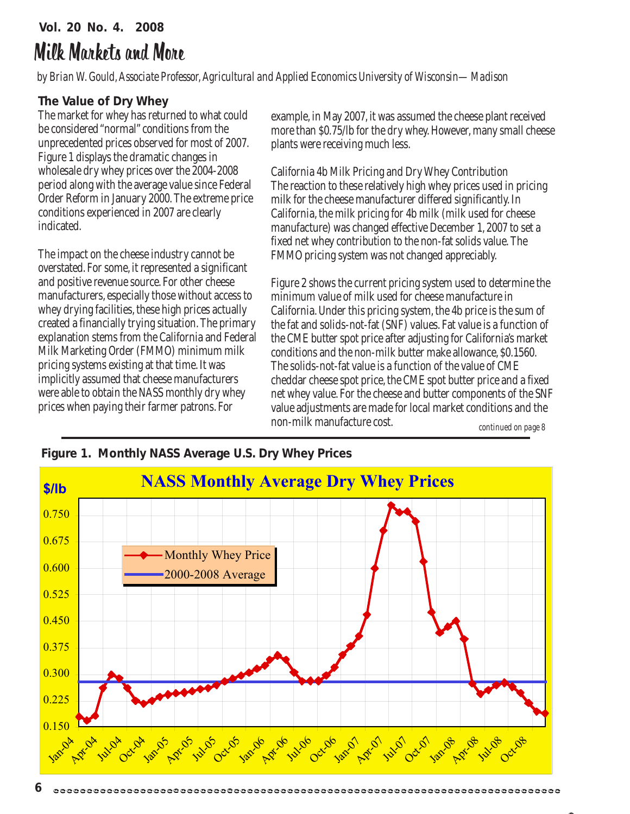### **Vol. 20 No. 4. 2008** Milk Markets and More

*by Brian W. Gould, Associate Professor, Agricultural and Applied Economics University of Wisconsin—Madison*

#### **The Value of Dry Whey**

The market for whey has returned to what could be considered "normal" conditions from the unprecedented prices observed for most of 2007. Figure 1 displays the dramatic changes in wholesale dry whey prices over the 2004-2008 period along with the average value since Federal Order Reform in January 2000. The extreme price conditions experienced in 2007 are clearly indicated.

The impact on the cheese industry cannot be overstated. For some, it represented a significant and positive revenue source. For other cheese manufacturers, especially those without access to whey drying facilities, these high prices actually created a financially trying situation. The primary explanation stems from the California and Federal Milk Marketing Order (FMMO) minimum milk pricing systems existing at that time. It was implicitly assumed that cheese manufacturers were able to obtain the NASS monthly dry whey prices when paying their farmer patrons. For

example, in May 2007, it was assumed the cheese plant received more than \$0.75/lb for the dry whey. However, many small cheese plants were receiving much less.

California 4b Milk Pricing and Dry Whey Contribution The reaction to these relatively high whey prices used in pricing milk for the cheese manufacturer differed significantly. In California, the milk pricing for 4b milk (milk used for cheese manufacture) was changed effective December 1, 2007 to set a fixed net whey contribution to the non-fat solids value. The FMMO pricing system was not changed appreciably.

Figure 2 shows the current pricing system used to determine the minimum value of milk used for cheese manufacture in California. Under this pricing system, the 4b price is the sum of the fat and solids-not-fat (SNF) values. Fat value is a function of the CME butter spot price after adjusting for California's market conditions and the non-milk butter make allowance, \$0.1560. The solids-not-fat value is a function of the value of CME cheddar cheese spot price, the CME spot butter price and a fixed net whey value. For the cheese and butter components of the SNF value adjustments are made for local market conditions and the non-milk manufacture cost.

*continued on page 8*



#### **Figure 1. Monthly NASS Average U.S. Dry Whey Prices**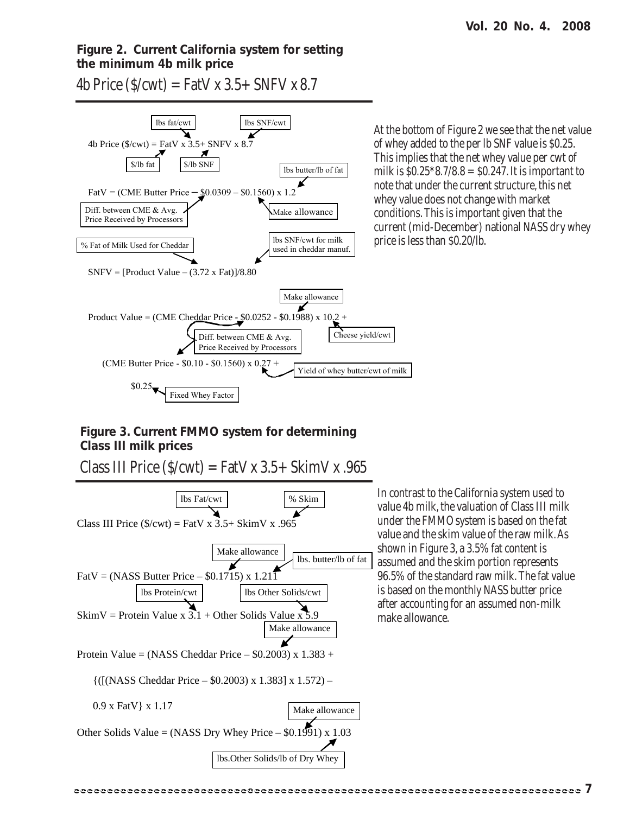#### **Figure 2. Current California system for setting the minimum 4b milk price**

4b Price  $(S/cwt) = FatV x 3.5 + SNFV x 8.7$ 



At the bottom of Figure 2 we see that the net value of whey added to the per lb SNF value is \$0.25. This implies that the net whey value per cwt of milk is  $$0.25^*8.7/8.8 = $0.247$ . It is important to note that under the current structure, this net whey value does not change with market conditions. This is important given that the current (mid-December) national NASS dry whey price is less than \$0.20/lb.

#### **Figure 3. Current FMMO system for determining Class III milk prices**

Class III Price  $(S/cwt) = FatV x 3.5 + SkimV x .965$ 

Class III Price  $(\frac{C}{x})$  = FatV x 3.5+ SkimV x .965 FatV = (NASS Butter Price – \$0.1715) x 1.211 SkimV = Protein Value x  $3.1 +$  Other Solids Value x Protein Value = (NASS Cheddar Price  $-$  \$0.2003) x 1.383 + {([(NASS Cheddar Price – \$0.2003) x 1.383] x 1.572) – 0.9 x FatV} x 1.17 Other Solids Value = (NASS Dry Whey Price  $-$  \$0.1991) x 1.03 lbs Fat/cwt | % Skim lbs. butter/lb of fat lbs Protein/cwt | lbs Other Solids/cwt Make allowance Make allowance Make allowance lbs.Other Solids/lb of Dry Whey

In contrast to the California system used to value 4b milk, the valuation of Class III milk under the FMMO system is based on the fat value and the skim value of the raw milk. As shown in Figure 3, a 3.5% fat content is assumed and the skim portion represents 96.5% of the standard raw milk. The fat value is based on the monthly NASS butter price after accounting for an assumed non-milk make allowance.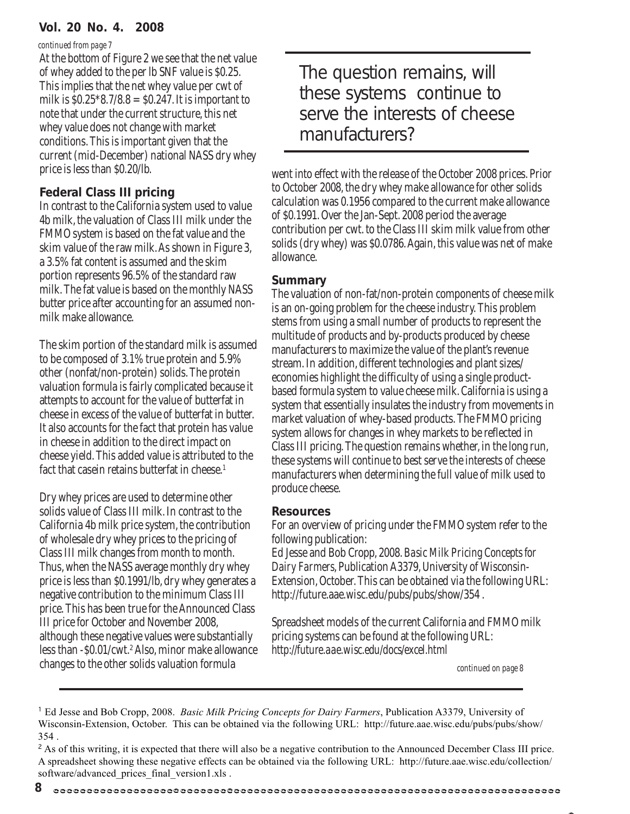#### **Vol. 20 No. 4. 2008**

#### *continued from page 7*

At the bottom of Figure 2 we see that the net value of whey added to the per lb SNF value is \$0.25. This implies that the net whey value per cwt of milk is  $$0.25^*8.7/8.8 = $0.247$ . It is important to note that under the current structure, this net whey value does not change with market conditions. This is important given that the current (mid-December) national NASS dry whey price is less than \$0.20/lb.

#### **Federal Class III pricing**

In contrast to the California system used to value 4b milk, the valuation of Class III milk under the FMMO system is based on the fat value and the skim value of the raw milk. As shown in Figure 3, a 3.5% fat content is assumed and the skim portion represents 96.5% of the standard raw milk. The fat value is based on the monthly NASS butter price after accounting for an assumed nonmilk make allowance.

The skim portion of the standard milk is assumed to be composed of 3.1% true protein and 5.9% other (nonfat/non-protein) solids. The protein valuation formula is fairly complicated because it attempts to account for the value of butterfat in cheese in excess of the value of butterfat in butter. It also accounts for the fact that protein has value in cheese in addition to the direct impact on cheese yield. This added value is attributed to the fact that casein retains butterfat in cheese.<sup>1</sup>

Dry whey prices are used to determine other solids value of Class III milk. In contrast to the California 4b milk price system, the contribution of wholesale dry whey prices to the pricing of Class III milk changes from month to month. Thus, when the NASS average monthly dry whey price is less than \$0.1991/lb, dry whey generates a negative contribution to the minimum Class III price. This has been true for the Announced Class III price for October and November 2008, although these negative values were substantially less than -\$0.01/cwt.<sup>2</sup> Also, minor make allowance changes to the other solids valuation formula

The question remains, will these systems continue to serve the interests of cheese manufacturers?

went into effect with the release of the October 2008 prices. Prior to October 2008, the dry whey make allowance for other solids calculation was 0.1956 compared to the current make allowance of \$0.1991. Over the Jan-Sept. 2008 period the average contribution per cwt. to the Class III skim milk value from other solids (dry whey) was \$0.0786. Again, this value was net of make allowance.

#### **Summary**

The valuation of non-fat/non-protein components of cheese milk is an on-going problem for the cheese industry. This problem stems from using a small number of products to represent the multitude of products and by-products produced by cheese manufacturers to maximize the value of the plant's revenue stream. In addition, different technologies and plant sizes/ economies highlight the difficulty of using a single productbased formula system to value cheese milk. California is using a system that essentially insulates the industry from movements in market valuation of whey-based products. The FMMO pricing system allows for changes in whey markets to be reflected in Class III pricing. The question remains whether, in the long run, these systems will continue to best serve the interests of cheese manufacturers when determining the full value of milk used to produce cheese.

#### **Resources**

For an overview of pricing under the FMMO system refer to the following publication:

Ed Jesse and Bob Cropp, 2008. *Basic Milk Pricing Concepts for Dairy Farmers*, Publication A3379, University of Wisconsin-Extension, October. This can be obtained via the following URL: http://future.aae.wisc.edu/pubs/pubs/show/354 .

Spreadsheet models of the current California and FMMO milk pricing systems can be found at the following URL: *http://future.aae.wisc.edu/docs/excel.html*

*continued on page 8*

<sup>&</sup>lt;sup>1</sup> Ed Jesse and Bob Cropp, 2008. *Basic Milk Pricing Concepts for Dairy Farmers*, Publication A3379, University of Wisconsin-Extension, October. This can be obtained via the following URL: http://future.aae.wisc.edu/pubs/pubs/show/ 354 .

<sup>&</sup>lt;sup>2</sup> As of this writing, it is expected that there will also be a negative contribution to the Announced December Class III price. A spreadsheet showing these negative effects can be obtained via the following URL: http://future.aae.wisc.edu/collection/ software/advanced\_prices\_final\_version1.xls .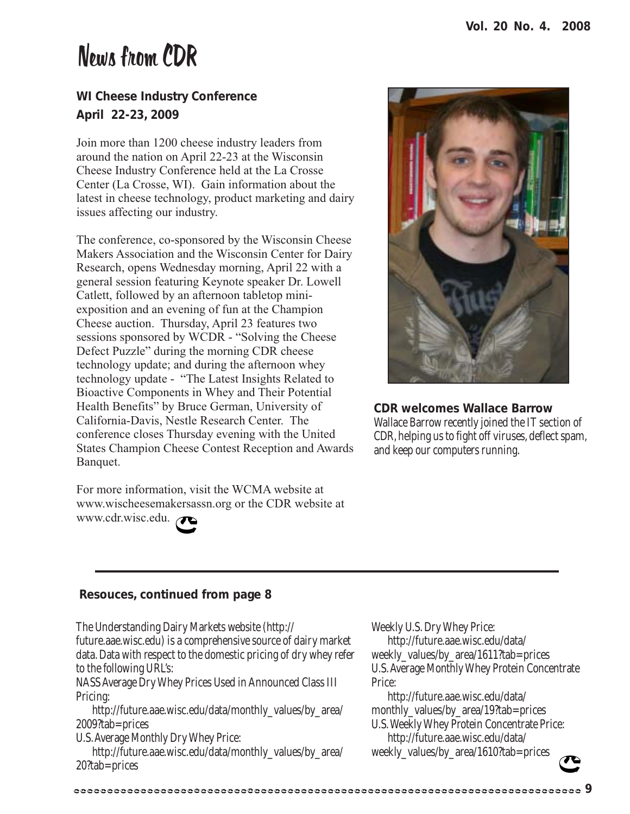## News from CDR

#### **WI Cheese Industry Conference April 22-23, 2009**

Join more than 1200 cheese industry leaders from around the nation on April 22-23 at the Wisconsin Cheese Industry Conference held at the La Crosse Center (La Crosse, WI). Gain information about the latest in cheese technology, product marketing and dairy issues affecting our industry.

The conference, co-sponsored by the Wisconsin Cheese Makers Association and the Wisconsin Center for Dairy Research, opens Wednesday morning, April 22 with a general session featuring Keynote speaker Dr. Lowell Catlett, followed by an afternoon tabletop miniexposition and an evening of fun at the Champion Cheese auction. Thursday, April 23 features two sessions sponsored by WCDR - "Solving the Cheese Defect Puzzle" during the morning CDR cheese technology update; and during the afternoon whey technology update - "The Latest Insights Related to Bioactive Components in Whey and Their Potential Health Benefits" by Bruce German, University of California-Davis, Nestle Research Center. The conference closes Thursday evening with the United States Champion Cheese Contest Reception and Awards Banquet.

For more information, visit the WCMA website at www.wischeesemakersassn.org or the CDR website at www.cdr.wisc.edu.



**CDR welcomes Wallace Barrow** Wallace Barrow recently joined the IT section of CDR, helping us to fight off viruses, deflect spam, and keep our computers running.

#### **Resouces, continued from page 8**

The Understanding Dairy Markets website (http:// future.aae.wisc.edu) is a comprehensive source of dairy market data. Data with respect to the domestic pricing of dry whey refer to the following URL's:

NASS Average Dry Whey Prices Used in Announced Class III Pricing:

 http://future.aae.wisc.edu/data/monthly\_values/by\_area/ 2009?tab=prices

U.S. Average Monthly Dry Whey Price:

 http://future.aae.wisc.edu/data/monthly\_values/by\_area/ 20?tab=prices

Weekly U.S. Dry Whey Price:

 http://future.aae.wisc.edu/data/ weekly\_values/by\_area/1611?tab=prices U.S. Average Monthly Whey Protein Concentrate Price:

 http://future.aae.wisc.edu/data/ monthly\_values/by\_area/19?tab=prices U.S. Weekly Whey Protein Concentrate Price: http://future.aae.wisc.edu/data/ weekly\_values/by\_area/1610?tab=prices

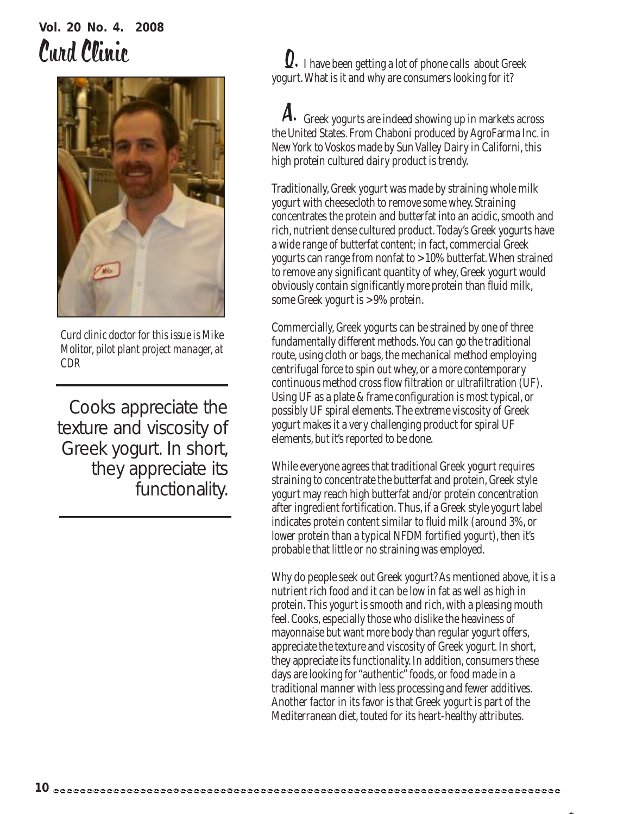# **Vol. 20 No. 4. 2008**



*Curd clinic doctor for this issue is Mike Molitor, pilot plant project manager, at CDR*

Cooks appreciate the texture and viscosity of Greek yogurt. In short, they appreciate its functionality.

Curd Clinic Curd Clinic Curd Clinic Curd Clinic I have been getting a lot of phone calls about Greek yogurt. What is it and why are consumers looking for it?

> ${\boldsymbol A}.$  Greek yogurts are indeed showing up in markets across the United States. From Chaboni produced by AgroFarma Inc. in New York to Voskos made by Sun Valley Dairy in Californi, this high protein cultured dairy product is trendy.

Traditionally, Greek yogurt was made by straining whole milk yogurt with cheesecloth to remove some whey. Straining concentrates the protein and butterfat into an acidic, smooth and rich, nutrient dense cultured product. Today's Greek yogurts have a wide range of butterfat content; in fact, commercial Greek yogurts can range from nonfat to >10% butterfat. When strained to remove any significant quantity of whey, Greek yogurt would obviously contain significantly more protein than fluid milk, some Greek yogurt is >9% protein.

Commercially, Greek yogurts can be strained by one of three fundamentally different methods. You can go the traditional route, using cloth or bags, the mechanical method employing centrifugal force to spin out whey, or a more contemporary continuous method cross flow filtration or ultrafiltration (UF). Using UF as a plate & frame configuration is most typical, or possibly UF spiral elements. The extreme viscosity of Greek yogurt makes it a very challenging product for spiral UF elements, but it's reported to be done.

While everyone agrees that traditional Greek yogurt requires straining to concentrate the butterfat and protein, Greek style yogurt may reach high butterfat and/or protein concentration after ingredient fortification. Thus, if a Greek style yogurt label indicates protein content similar to fluid milk (around 3%, or lower protein than a typical NFDM fortified yogurt), then it's probable that little or no straining was employed.

Why do people seek out Greek yogurt? As mentioned above, it is a nutrient rich food and it can be low in fat as well as high in protein. This yogurt is smooth and rich, with a pleasing mouth feel. Cooks, especially those who dislike the heaviness of mayonnaise but want more body than regular yogurt offers, appreciate the texture and viscosity of Greek yogurt. In short, they appreciate its functionality. In addition, consumers these days are looking for "authentic" foods, or food made in a traditional manner with less processing and fewer additives. Another factor in its favor is that Greek yogurt is part of the Mediterranean diet, touted for its heart-healthy attributes.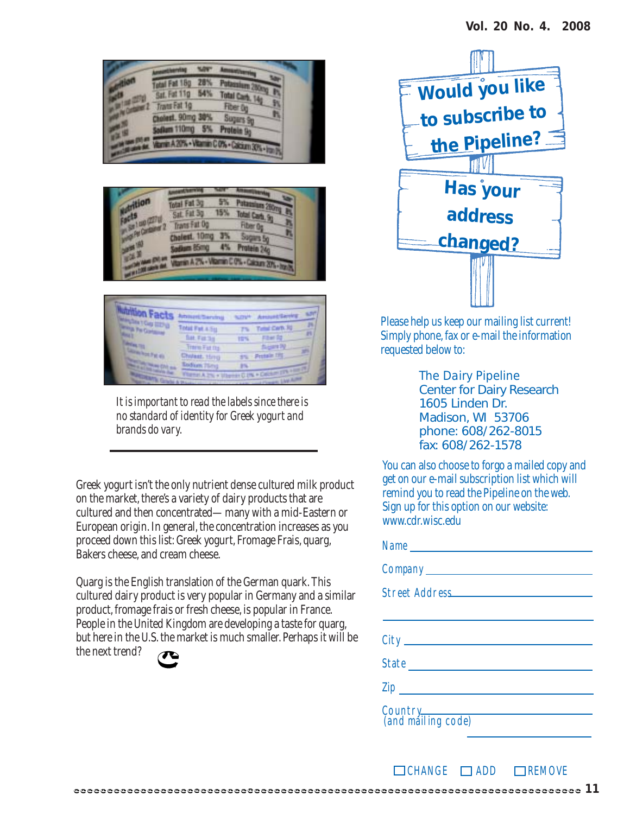| <b>Fat 18g</b><br>Sat. Fot 11g | 285 |                               |
|--------------------------------|-----|-------------------------------|
| <b>TransFat 1g</b>             |     | <b>Total Cart</b><br>Fiber 0  |
| plest, 90mg 30%<br>110mg       |     | Sugars 9<br>5% Protein 9g     |
|                                |     | OS - Vitamin C O% - Cabian 30 |
|                                |     |                               |





*It is important to read the labels since there is no standard of identity for Greek yogurt and brands do vary.*

Greek yogurt isn't the only nutrient dense cultured milk product on the market, there's a variety of dairy products that are cultured and then concentrated—many with a mid-Eastern or European origin. In general, the concentration increases as you proceed down this list: Greek yogurt, Fromage Frais, quarg, Bakers cheese, and cream cheese.

Quarg is the English translation of the German quark. This cultured dairy product is very popular in Germany and a similar product, fromage frais or fresh cheese, is popular in France. People in the United Kingdom are developing a taste for quarg, but here in the U.S. the market is much smaller. Perhaps it will be the next trend?





Please help us keep our mailing list current! Simply phone, fax or e-mail the information requested below to:

> *The Dairy Pipeline* Center for Dairy Research 1605 Linden Dr. Madison, WI 53706 phone: 608/262-8015 fax: 608/262-1578

You can also choose to forgo a mailed copy and get on our e-mail subscription list which will remind you to read the Pipeline on the web. Sign up for this option on our website: www.cdr.wisc.edu

| Name                          |
|-------------------------------|
|                               |
|                               |
|                               |
|                               |
|                               |
|                               |
| Country<br>(and mailing code) |

**11**

 $\Box$ CHANGE  $\Box$ ADD  $\Box$ REMOVE